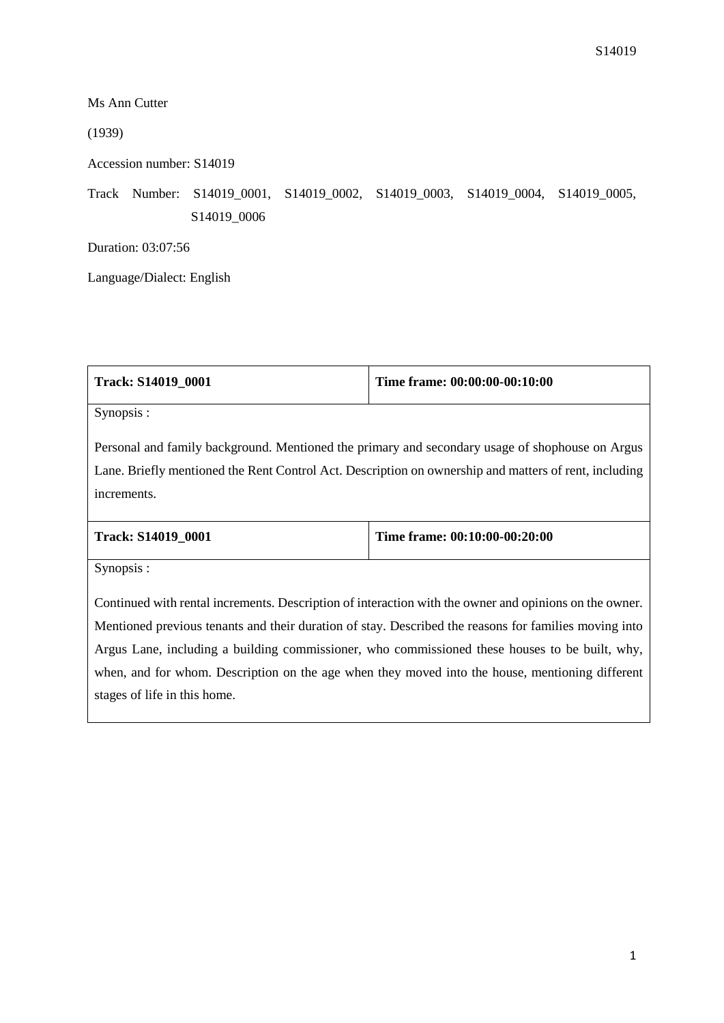┑

Ms Ann Cutter

(1939)

 $\Gamma$ 

Accession number: S14019

Track Number: S14019\_0001, S14019\_0002, S14019\_0003, S14019\_0004, S14019\_0005, S14019\_0006

Duration: 03:07:56

Language/Dialect: English

| <b>Track: S14019 0001</b>                                                                                                                                                                                               | Time frame: 00:00:00-00:10:00 |  |
|-------------------------------------------------------------------------------------------------------------------------------------------------------------------------------------------------------------------------|-------------------------------|--|
| Synopsis:                                                                                                                                                                                                               |                               |  |
| Personal and family background. Mentioned the primary and secondary usage of shophouse on Argus<br>Lane. Briefly mentioned the Rent Control Act. Description on ownership and matters of rent, including<br>increments. |                               |  |
| Track: S14019_0001                                                                                                                                                                                                      | Time frame: 00:10:00-00:20:00 |  |
| Synopsis:                                                                                                                                                                                                               |                               |  |
| Continued with rental increments. Description of interaction with the owner and opinions on the owner.                                                                                                                  |                               |  |

Τ

Mentioned previous tenants and their duration of stay. Described the reasons for families moving into Argus Lane, including a building commissioner, who commissioned these houses to be built, why, when, and for whom. Description on the age when they moved into the house, mentioning different stages of life in this home.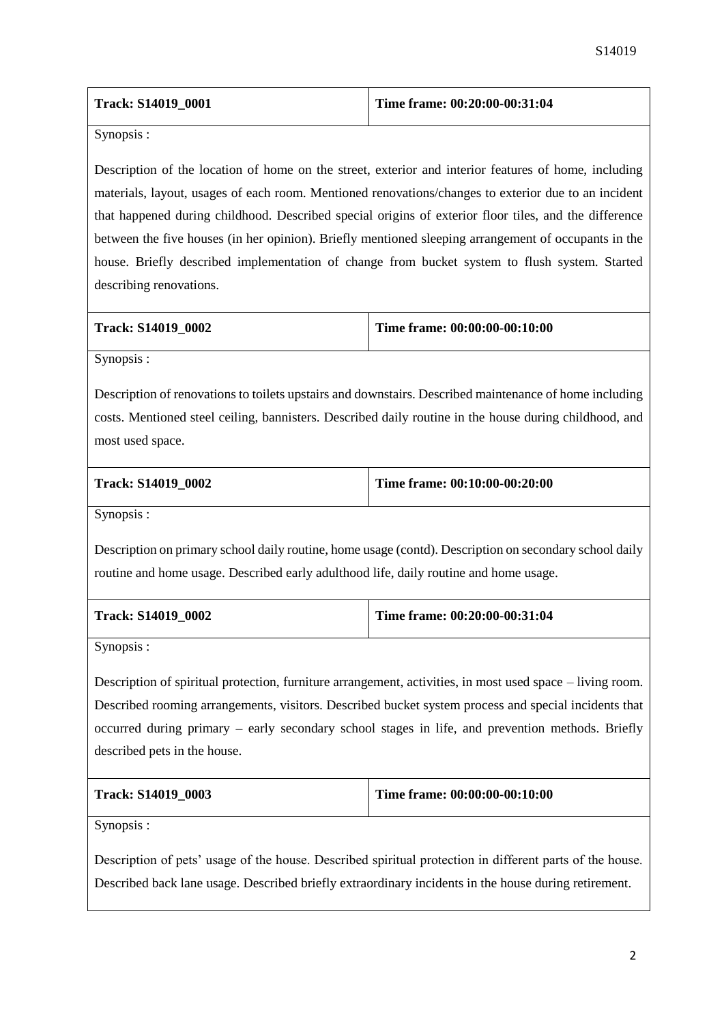| <b>Track: S14019 0001</b> | Time frame: $00:20:00-00:31:04$ |
|---------------------------|---------------------------------|
|                           |                                 |

Synopsis :

Description of the location of home on the street, exterior and interior features of home, including materials, layout, usages of each room. Mentioned renovations/changes to exterior due to an incident that happened during childhood. Described special origins of exterior floor tiles, and the difference between the five houses (in her opinion). Briefly mentioned sleeping arrangement of occupants in the house. Briefly described implementation of change from bucket system to flush system. Started describing renovations.

| Track: S14019 0002 |  |
|--------------------|--|
|--------------------|--|

**Time frame: 00:00:00-00:10:00** 

Synopsis :

Description of renovations to toilets upstairs and downstairs. Described maintenance of home including costs. Mentioned steel ceiling, bannisters. Described daily routine in the house during childhood, and most used space.

|  | Track: S14019 0002 |  |
|--|--------------------|--|
|--|--------------------|--|

**Time frame: 00:10:00-00:20:00** 

Synopsis :

Description on primary school daily routine, home usage (contd). Description on secondary school daily routine and home usage. Described early adulthood life, daily routine and home usage.

| Track: S14019 0002 | Time frame: $00:20:00-00:31:04$ |
|--------------------|---------------------------------|
|                    |                                 |

Synopsis :

Description of spiritual protection, furniture arrangement, activities, in most used space – living room. Described rooming arrangements, visitors. Described bucket system process and special incidents that occurred during primary – early secondary school stages in life, and prevention methods. Briefly described pets in the house.

| Track: S14019 0003 | Time frame: 00:00:00-00:10:00 |
|--------------------|-------------------------------|
|                    |                               |

Synopsis :

Description of pets' usage of the house. Described spiritual protection in different parts of the house. Described back lane usage. Described briefly extraordinary incidents in the house during retirement.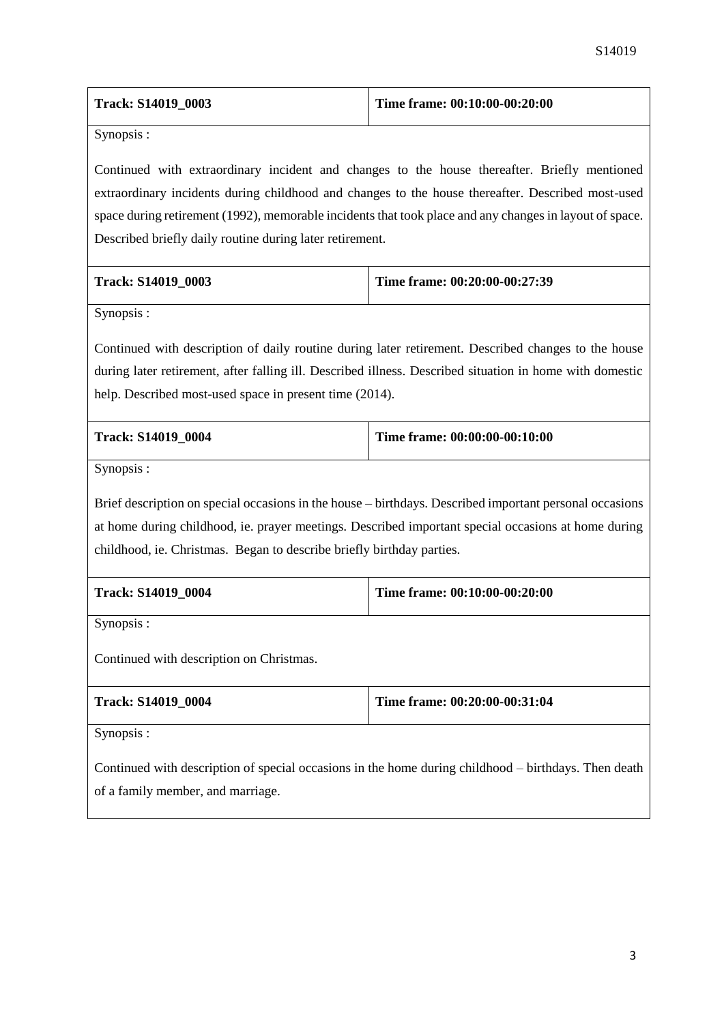| Track: S14019_0003                                                                                                                                                                                                                                                         | Time frame: 00:10:00-00:20:00                                                                           |  |  |
|----------------------------------------------------------------------------------------------------------------------------------------------------------------------------------------------------------------------------------------------------------------------------|---------------------------------------------------------------------------------------------------------|--|--|
| Synopsis:                                                                                                                                                                                                                                                                  |                                                                                                         |  |  |
|                                                                                                                                                                                                                                                                            | Continued with extraordinary incident and changes to the house thereafter. Briefly mentioned            |  |  |
|                                                                                                                                                                                                                                                                            | extraordinary incidents during childhood and changes to the house thereafter. Described most-used       |  |  |
| space during retirement (1992), memorable incidents that took place and any changes in layout of space.                                                                                                                                                                    |                                                                                                         |  |  |
| Described briefly daily routine during later retirement.                                                                                                                                                                                                                   |                                                                                                         |  |  |
| Track: S14019_0003                                                                                                                                                                                                                                                         | Time frame: 00:20:00-00:27:39                                                                           |  |  |
| Synopsis:                                                                                                                                                                                                                                                                  |                                                                                                         |  |  |
| Continued with description of daily routine during later retirement. Described changes to the house<br>during later retirement, after falling ill. Described illness. Described situation in home with domestic<br>help. Described most-used space in present time (2014). |                                                                                                         |  |  |
| Track: S14019_0004                                                                                                                                                                                                                                                         | Time frame: 00:00:00-00:10:00                                                                           |  |  |
| Synopsis:                                                                                                                                                                                                                                                                  |                                                                                                         |  |  |
|                                                                                                                                                                                                                                                                            | Brief description on special occasions in the house – birthdays. Described important personal occasions |  |  |
| at home during childhood, ie. prayer meetings. Described important special occasions at home during                                                                                                                                                                        |                                                                                                         |  |  |
| childhood, ie. Christmas. Began to describe briefly birthday parties.                                                                                                                                                                                                      |                                                                                                         |  |  |
| Track: S14019_0004                                                                                                                                                                                                                                                         | Time frame: 00:10:00-00:20:00                                                                           |  |  |
| Synopsis:                                                                                                                                                                                                                                                                  |                                                                                                         |  |  |
| Continued with description on Christmas.                                                                                                                                                                                                                                   |                                                                                                         |  |  |
| Track: S14019_0004                                                                                                                                                                                                                                                         | Time frame: 00:20:00-00:31:04                                                                           |  |  |
| Synopsis :                                                                                                                                                                                                                                                                 |                                                                                                         |  |  |
| Continued with description of special occasions in the home during childhood – birthdays. Then death<br>of a family member, and marriage.                                                                                                                                  |                                                                                                         |  |  |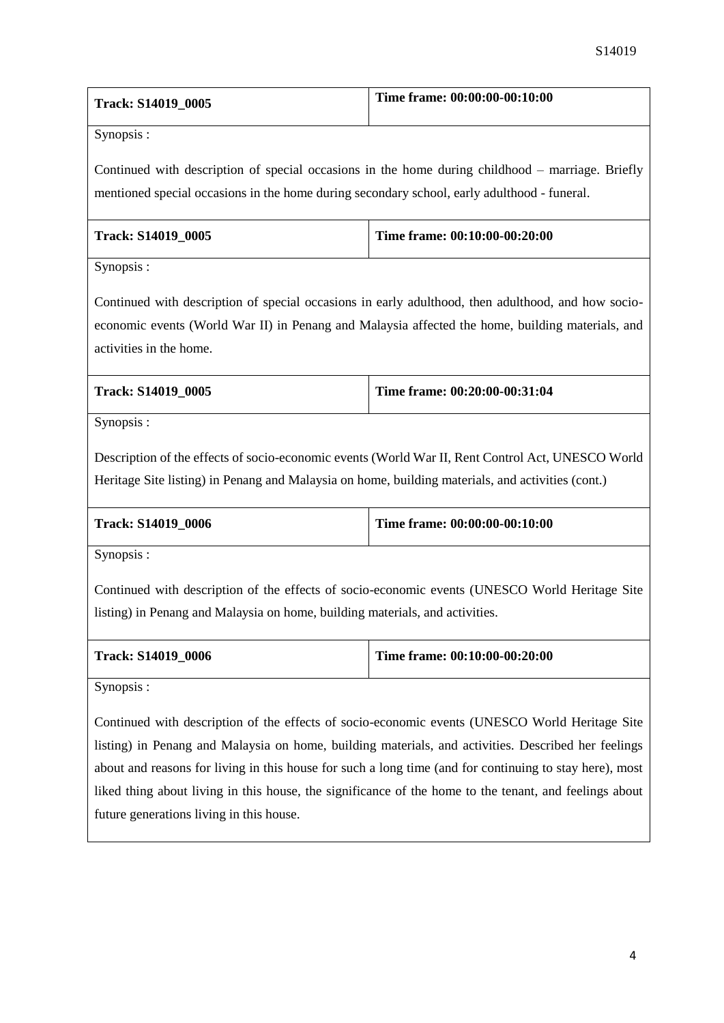| <b>Track: S14019 0005</b> | Time frame: 00:00:00-00:10:00 |
|---------------------------|-------------------------------|
|                           |                               |

Synopsis :

Continued with description of special occasions in the home during childhood – marriage. Briefly mentioned special occasions in the home during secondary school, early adulthood - funeral.

| <b>Track: S14019 0005</b> | Time frame: 00:10:00-00:20:00 |
|---------------------------|-------------------------------|
|                           |                               |

Synopsis :

Continued with description of special occasions in early adulthood, then adulthood, and how socioeconomic events (World War II) in Penang and Malaysia affected the home, building materials, and activities in the home.

| <b>Track: S14019 0005</b> | Time frame: 00:20:00-00:31:04 |
|---------------------------|-------------------------------|
|                           |                               |

Synopsis :

Description of the effects of socio-economic events (World War II, Rent Control Act, UNESCO World Heritage Site listing) in Penang and Malaysia on home, building materials, and activities (cont.)

| <b>Track: S14019 0006</b> | Time frame: $00:00:00-00:10:00$ |
|---------------------------|---------------------------------|
|                           |                                 |

Synopsis :

Continued with description of the effects of socio-economic events (UNESCO World Heritage Site listing) in Penang and Malaysia on home, building materials, and activities.

| <b>Track: S14019 0006</b> | Time frame: $00:10:00-00:20:00$ |
|---------------------------|---------------------------------|
|                           |                                 |

Synopsis :

Continued with description of the effects of socio-economic events (UNESCO World Heritage Site listing) in Penang and Malaysia on home, building materials, and activities. Described her feelings about and reasons for living in this house for such a long time (and for continuing to stay here), most liked thing about living in this house, the significance of the home to the tenant, and feelings about future generations living in this house.